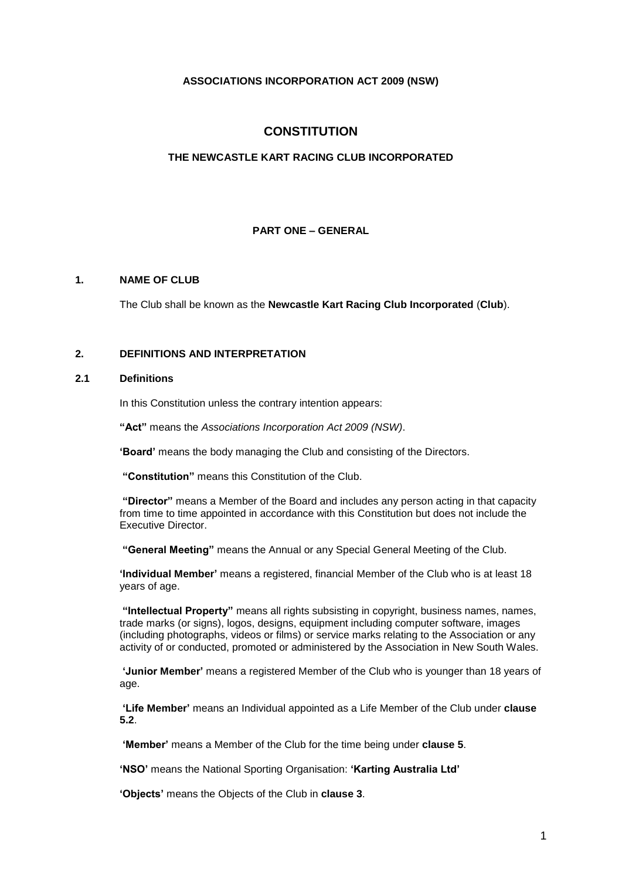# **ASSOCIATIONS INCORPORATION ACT 2009 (NSW)**

# **CONSTITUTION**

## **THE NEWCASTLE KART RACING CLUB INCORPORATED**

# **PART ONE – GENERAL**

# **1. NAME OF CLUB**

The Club shall be known as the **Newcastle Kart Racing Club Incorporated** (**Club**).

# **2. DEFINITIONS AND INTERPRETATION**

### **2.1 Definitions**

In this Constitution unless the contrary intention appears:

**"Act"** means the *Associations Incorporation Act 2009 (NSW)*.

**'Board'** means the body managing the Club and consisting of the Directors.

**"Constitution"** means this Constitution of the Club.

**"Director"** means a Member of the Board and includes any person acting in that capacity from time to time appointed in accordance with this Constitution but does not include the Executive Director.

**"General Meeting"** means the Annual or any Special General Meeting of the Club.

**'Individual Member'** means a registered, financial Member of the Club who is at least 18 years of age.

**"Intellectual Property"** means all rights subsisting in copyright, business names, names, trade marks (or signs), logos, designs, equipment including computer software, images (including photographs, videos or films) or service marks relating to the Association or any activity of or conducted, promoted or administered by the Association in New South Wales.

**'Junior Member'** means a registered Member of the Club who is younger than 18 years of age.

**'Life Member'** means an Individual appointed as a Life Member of the Club under **clause [5.2](#page-3-0)**.

**'Member'** means a Member of the Club for the time being under **clause 5**.

**'NSO'** means the National Sporting Organisation: **'Karting Australia Ltd'**

**'Objects'** means the Objects of the Club in **clause 3**.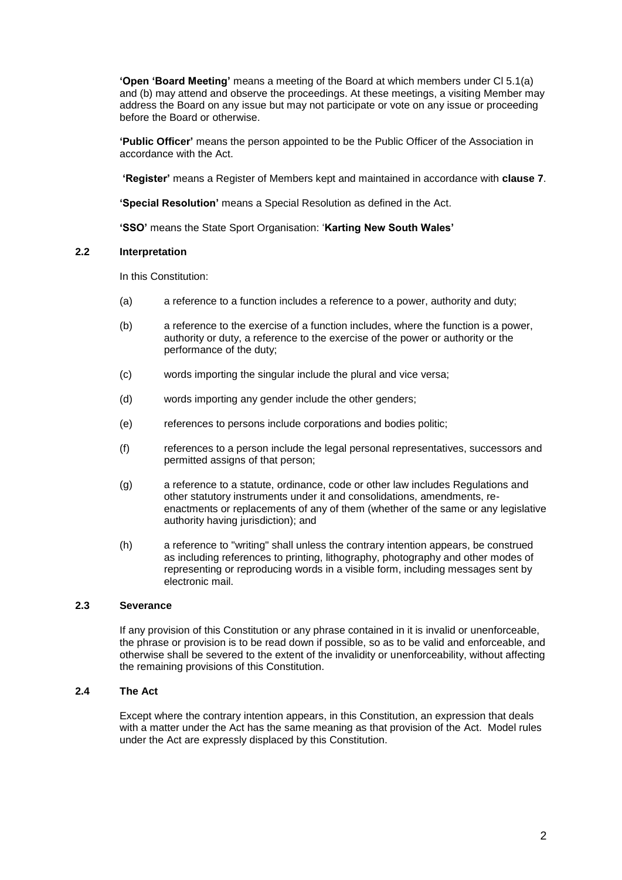**'Open 'Board Meeting'** means a meeting of the Board at which members under Cl 5.1(a) and (b) may attend and observe the proceedings. At these meetings, a visiting Member may address the Board on any issue but may not participate or vote on any issue or proceeding before the Board or otherwise.

**'Public Officer'** means the person appointed to be the Public Officer of the Association in accordance with the Act.

**'Register'** means a Register of Members kept and maintained in accordance with **claus[e 7](#page-4-0)**.

**'Special Resolution'** means a Special Resolution as defined in the Act.

**'SSO'** means the State Sport Organisation: '**Karting New South Wales'**

### **2.2 Interpretation**

In this Constitution:

- (a) a reference to a function includes a reference to a power, authority and duty;
- (b) a reference to the exercise of a function includes, where the function is a power, authority or duty, a reference to the exercise of the power or authority or the performance of the duty;
- (c) words importing the singular include the plural and vice versa;
- (d) words importing any gender include the other genders;
- (e) references to persons include corporations and bodies politic;
- (f) references to a person include the legal personal representatives, successors and permitted assigns of that person;
- (g) a reference to a statute, ordinance, code or other law includes Regulations and other statutory instruments under it and consolidations, amendments, reenactments or replacements of any of them (whether of the same or any legislative authority having jurisdiction); and
- (h) a reference to "writing" shall unless the contrary intention appears, be construed as including references to printing, lithography, photography and other modes of representing or reproducing words in a visible form, including messages sent by electronic mail.

# **2.3 Severance**

If any provision of this Constitution or any phrase contained in it is invalid or unenforceable, the phrase or provision is to be read down if possible, so as to be valid and enforceable, and otherwise shall be severed to the extent of the invalidity or unenforceability, without affecting the remaining provisions of this Constitution.

# **2.4 The Act**

Except where the contrary intention appears, in this Constitution, an expression that deals with a matter under the Act has the same meaning as that provision of the Act. Model rules under the Act are expressly displaced by this Constitution.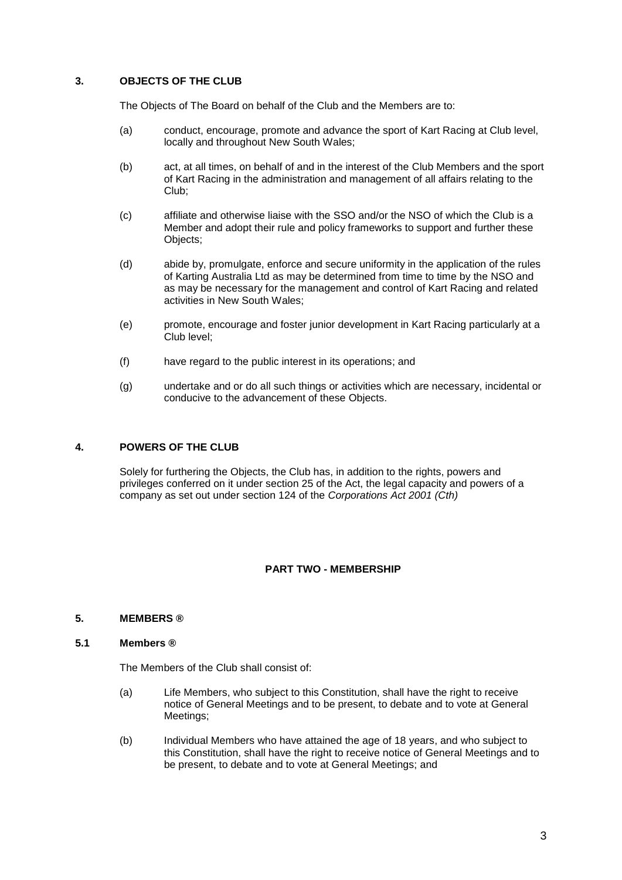# **3. OBJECTS OF THE CLUB**

The Objects of The Board on behalf of the Club and the Members are to:

- (a) conduct, encourage, promote and advance the sport of Kart Racing at Club level, locally and throughout New South Wales;
- (b) act, at all times, on behalf of and in the interest of the Club Members and the sport of Kart Racing in the administration and management of all affairs relating to the Club;
- (c) affiliate and otherwise liaise with the SSO and/or the NSO of which the Club is a Member and adopt their rule and policy frameworks to support and further these Objects;
- (d) abide by, promulgate, enforce and secure uniformity in the application of the rules of Karting Australia Ltd as may be determined from time to time by the NSO and as may be necessary for the management and control of Kart Racing and related activities in New South Wales;
- (e) promote, encourage and foster junior development in Kart Racing particularly at a Club level;
- (f) have regard to the public interest in its operations; and
- (g) undertake and or do all such things or activities which are necessary, incidental or conducive to the advancement of these Objects.

### **4. POWERS OF THE CLUB**

Solely for furthering the Objects, the Club has, in addition to the rights, powers and privileges conferred on it under section 25 of the Act, the legal capacity and powers of a company as set out under section 124 of the *Corporations Act 2001 (Cth)*

# **PART TWO - MEMBERSHIP**

### **5. MEMBERS ®**

### <span id="page-2-0"></span>**5.1 Members ®**

The Members of the Club shall consist of:

- (a) Life Members, who subject to this Constitution, shall have the right to receive notice of General Meetings and to be present, to debate and to vote at General Meetings:
- (b) Individual Members who have attained the age of 18 years, and who subject to this Constitution, shall have the right to receive notice of General Meetings and to be present, to debate and to vote at General Meetings; and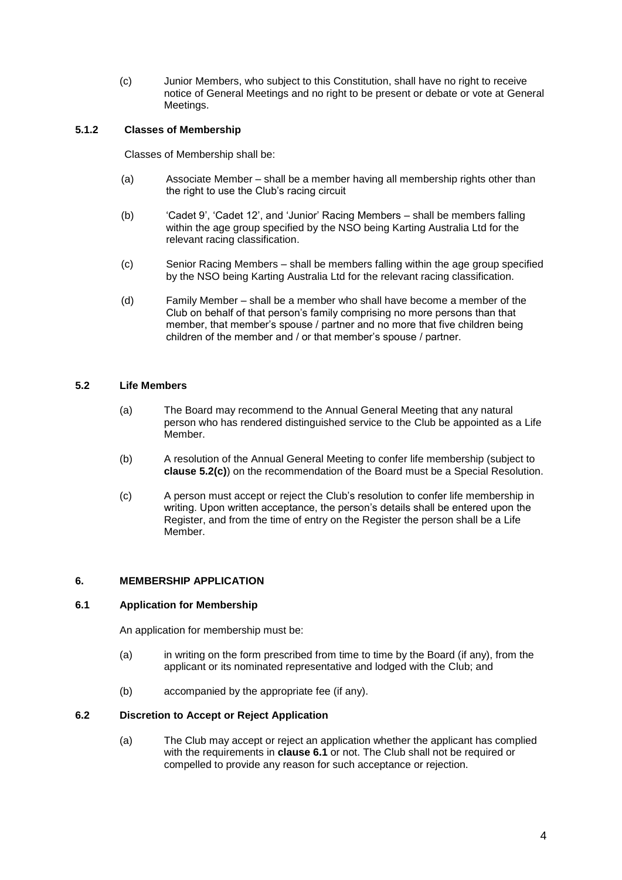(c) Junior Members, who subject to this Constitution, shall have no right to receive notice of General Meetings and no right to be present or debate or vote at General Meetings.

# **5.1.2 Classes of Membership**

Classes of Membership shall be:

- (a) Associate Member shall be a member having all membership rights other than the right to use the Club's racing circuit
- (b) 'Cadet 9', 'Cadet 12', and 'Junior' Racing Members shall be members falling within the age group specified by the NSO being Karting Australia Ltd for the relevant racing classification.
- (c) Senior Racing Members shall be members falling within the age group specified by the NSO being Karting Australia Ltd for the relevant racing classification.
- (d) Family Member shall be a member who shall have become a member of the Club on behalf of that person's family comprising no more persons than that member, that member's spouse / partner and no more that five children being children of the member and / or that member's spouse / partner.

## <span id="page-3-0"></span>**5.2 Life Members**

- (a) The Board may recommend to the Annual General Meeting that any natural person who has rendered distinguished service to the Club be appointed as a Life Member.
- (b) A resolution of the Annual General Meeting to confer life membership (subject to **clause [5.2\(](#page-3-0)c)**) on the recommendation of the Board must be a Special Resolution.
- (c) A person must accept or reject the Club's resolution to confer life membership in writing. Upon written acceptance, the person's details shall be entered upon the Register, and from the time of entry on the Register the person shall be a Life Member.

### **6. MEMBERSHIP APPLICATION**

### <span id="page-3-1"></span>**6.1 Application for Membership**

An application for membership must be:

- (a) in writing on the form prescribed from time to time by the Board (if any), from the applicant or its nominated representative and lodged with the Club; and
- (b) accompanied by the appropriate fee (if any).

### **6.2 Discretion to Accept or Reject Application**

(a) The Club may accept or reject an application whether the applicant has complied with the requirements in **clause [6.1](#page-3-1)** or not. The Club shall not be required or compelled to provide any reason for such acceptance or rejection.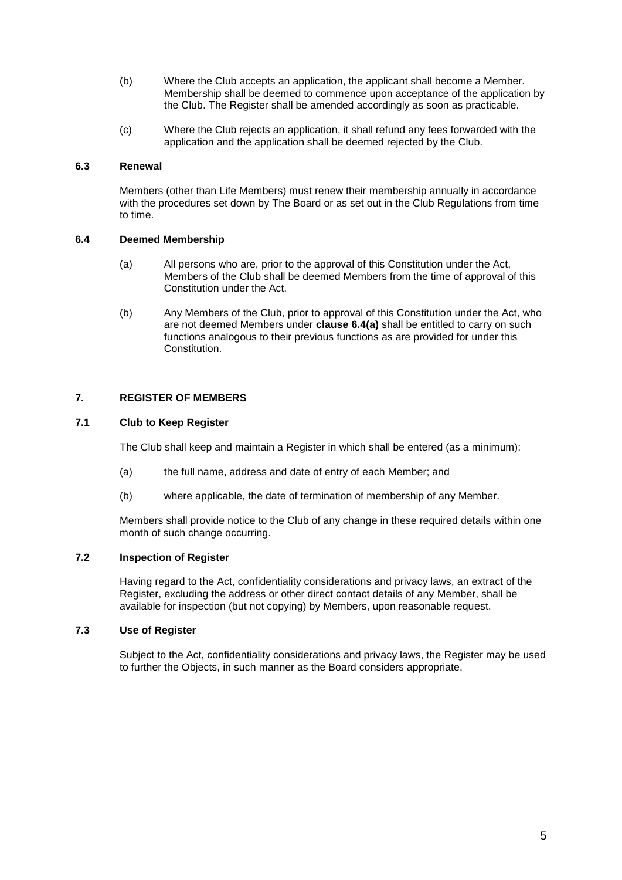- (b) Where the Club accepts an application, the applicant shall become a Member. Membership shall be deemed to commence upon acceptance of the application by the Club. The Register shall be amended accordingly as soon as practicable.
- (c) Where the Club rejects an application, it shall refund any fees forwarded with the application and the application shall be deemed rejected by the Club.

# **6.3 Renewal**

Members (other than Life Members) must renew their membership annually in accordance with the procedures set down by The Board or as set out in the Club Regulations from time to time.

### <span id="page-4-1"></span>**6.4 Deemed Membership**

- (a) All persons who are, prior to the approval of this Constitution under the Act, Members of the Club shall be deemed Members from the time of approval of this Constitution under the Act.
- (b) Any Members of the Club, prior to approval of this Constitution under the Act, who are not deemed Members under **clause [6.4\(a\)](#page-4-1)** shall be entitled to carry on such functions analogous to their previous functions as are provided for under this Constitution.

### <span id="page-4-0"></span>**7. REGISTER OF MEMBERS**

### **7.1 Club to Keep Register**

The Club shall keep and maintain a Register in which shall be entered (as a minimum):

- (a) the full name, address and date of entry of each Member; and
- (b) where applicable, the date of termination of membership of any Member.

Members shall provide notice to the Club of any change in these required details within one month of such change occurring.

## **7.2 Inspection of Register**

Having regard to the Act, confidentiality considerations and privacy laws, an extract of the Register, excluding the address or other direct contact details of any Member, shall be available for inspection (but not copying) by Members, upon reasonable request.

## **7.3 Use of Register**

Subject to the Act, confidentiality considerations and privacy laws, the Register may be used to further the Objects, in such manner as the Board considers appropriate.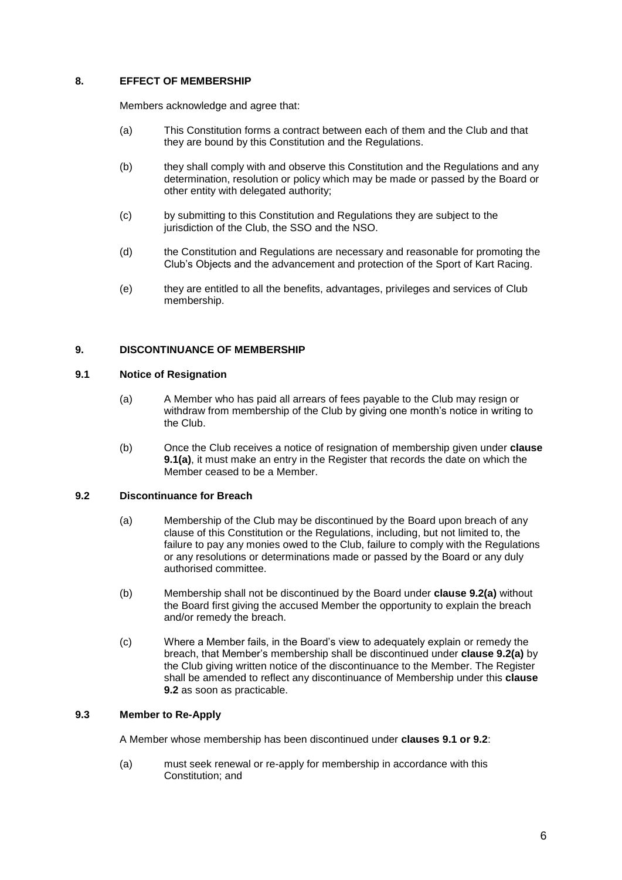# **8. EFFECT OF MEMBERSHIP**

Members acknowledge and agree that:

- (a) This Constitution forms a contract between each of them and the Club and that they are bound by this Constitution and the Regulations.
- (b) they shall comply with and observe this Constitution and the Regulations and any determination, resolution or policy which may be made or passed by the Board or other entity with delegated authority;
- (c) by submitting to this Constitution and Regulations they are subject to the jurisdiction of the Club, the SSO and the NSO.
- (d) the Constitution and Regulations are necessary and reasonable for promoting the Club's Objects and the advancement and protection of the Sport of Kart Racing.
- (e) they are entitled to all the benefits, advantages, privileges and services of Club membership.

### <span id="page-5-2"></span>**9. DISCONTINUANCE OF MEMBERSHIP**

### <span id="page-5-0"></span>**9.1 Notice of Resignation**

- (a) A Member who has paid all arrears of fees payable to the Club may resign or withdraw from membership of the Club by giving one month's notice in writing to the Club.
- (b) Once the Club receives a notice of resignation of membership given under **clause [9.1\(a\)](#page-5-0)**, it must make an entry in the Register that records the date on which the Member ceased to be a Member.

### <span id="page-5-1"></span>**9.2 Discontinuance for Breach**

- (a) Membership of the Club may be discontinued by the Board upon breach of any clause of this Constitution or the Regulations, including, but not limited to, the failure to pay any monies owed to the Club, failure to comply with the Regulations or any resolutions or determinations made or passed by the Board or any duly authorised committee.
- (b) Membership shall not be discontinued by the Board under **clause [9.2\(a\)](#page-5-1)** without the Board first giving the accused Member the opportunity to explain the breach and/or remedy the breach.
- (c) Where a Member fails, in the Board's view to adequately explain or remedy the breach, that Member's membership shall be discontinued under **clause [9.2\(a\)](#page-5-1)** by the Club giving written notice of the discontinuance to the Member. The Register shall be amended to reflect any discontinuance of Membership under this **clause 9.2** as soon as practicable.

# **9.3 Member to Re-Apply**

A Member whose membership has been discontinued under **clauses [9.1](#page-5-0) or [9.2](#page-5-1)**:

(a) must seek renewal or re-apply for membership in accordance with this Constitution; and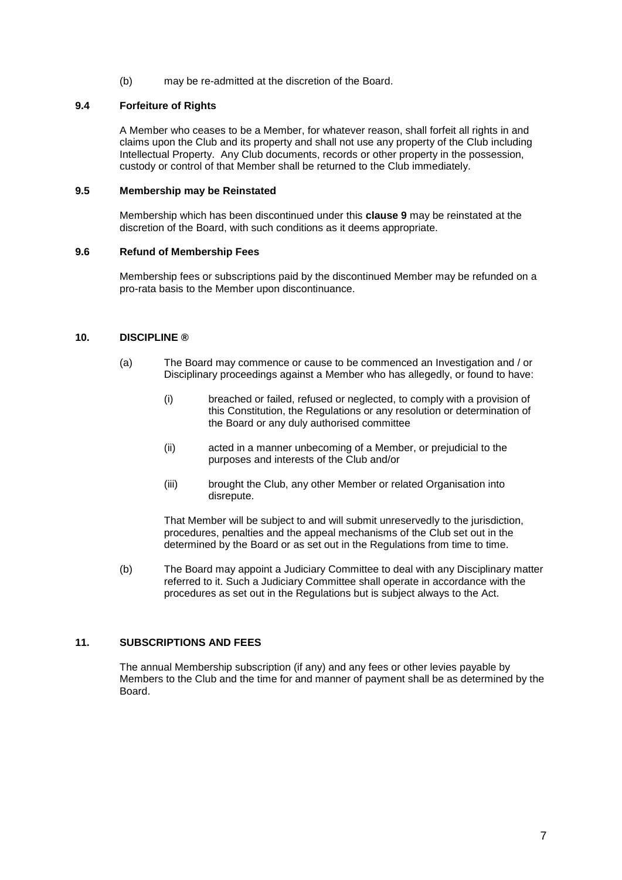(b) may be re-admitted at the discretion of the Board.

## **9.4 Forfeiture of Rights**

A Member who ceases to be a Member, for whatever reason, shall forfeit all rights in and claims upon the Club and its property and shall not use any property of the Club including Intellectual Property. Any Club documents, records or other property in the possession, custody or control of that Member shall be returned to the Club immediately.

### **9.5 Membership may be Reinstated**

Membership which has been discontinued under this **clause [9](#page-5-2)** may be reinstated at the discretion of the Board, with such conditions as it deems appropriate.

### **9.6 Refund of Membership Fees**

Membership fees or subscriptions paid by the discontinued Member may be refunded on a pro-rata basis to the Member upon discontinuance.

### **10. DISCIPLINE ®**

- (a) The Board may commence or cause to be commenced an Investigation and / or Disciplinary proceedings against a Member who has allegedly, or found to have:
	- (i) breached or failed, refused or neglected, to comply with a provision of this Constitution, the Regulations or any resolution or determination of the Board or any duly authorised committee
	- (ii) acted in a manner unbecoming of a Member, or prejudicial to the purposes and interests of the Club and/or
	- (iii) brought the Club, any other Member or related Organisation into disrepute.

That Member will be subject to and will submit unreservedly to the jurisdiction, procedures, penalties and the appeal mechanisms of the Club set out in the determined by the Board or as set out in the Regulations from time to time.

(b) The Board may appoint a Judiciary Committee to deal with any Disciplinary matter referred to it. Such a Judiciary Committee shall operate in accordance with the procedures as set out in the Regulations but is subject always to the Act.

# **11. SUBSCRIPTIONS AND FEES**

The annual Membership subscription (if any) and any fees or other levies payable by Members to the Club and the time for and manner of payment shall be as determined by the Board.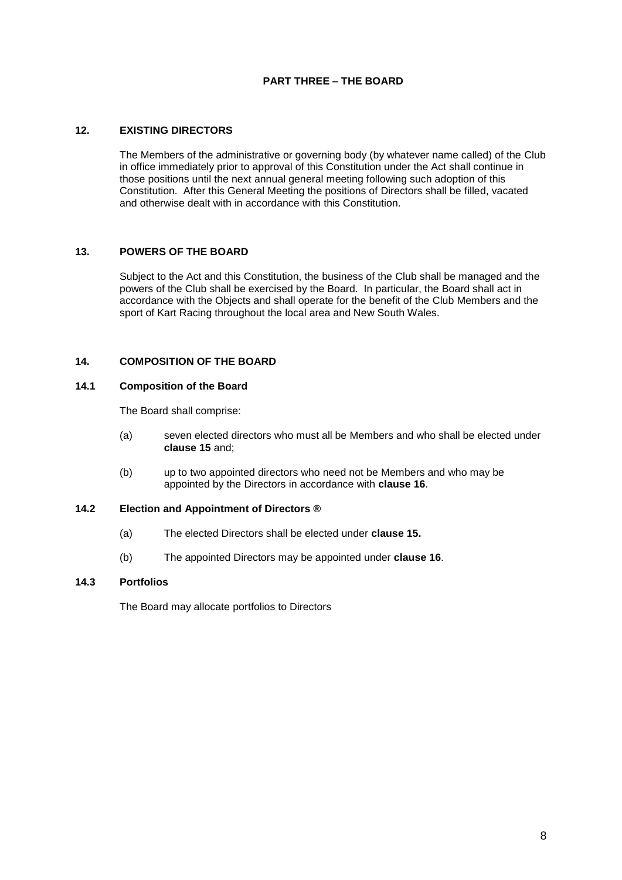# **PART THREE – THE BOARD**

# **12. EXISTING DIRECTORS**

The Members of the administrative or governing body (by whatever name called) of the Club in office immediately prior to approval of this Constitution under the Act shall continue in those positions until the next annual general meeting following such adoption of this Constitution. After this General Meeting the positions of Directors shall be filled, vacated and otherwise dealt with in accordance with this Constitution.

### **13. POWERS OF THE BOARD**

Subject to the Act and this Constitution, the business of the Club shall be managed and the powers of the Club shall be exercised by the Board. In particular, the Board shall act in accordance with the Objects and shall operate for the benefit of the Club Members and the sport of Kart Racing throughout the local area and New South Wales.

## **14. COMPOSITION OF THE BOARD**

### **14.1 Composition of the Board**

The Board shall comprise:

- (a) seven elected directors who must all be Members and who shall be elected under **clause 15** and;
- (b) up to two appointed directors who need not be Members and who may be appointed by the Directors in accordance with **clause [16](#page-9-0)**.

# **14.2 Election and Appointment of Directors ®**

- (a) The elected Directors shall be elected under **clause 15.**
- (b) The appointed Directors may be appointed under **clause 16**.

### **14.3 Portfolios**

The Board may allocate portfolios to Directors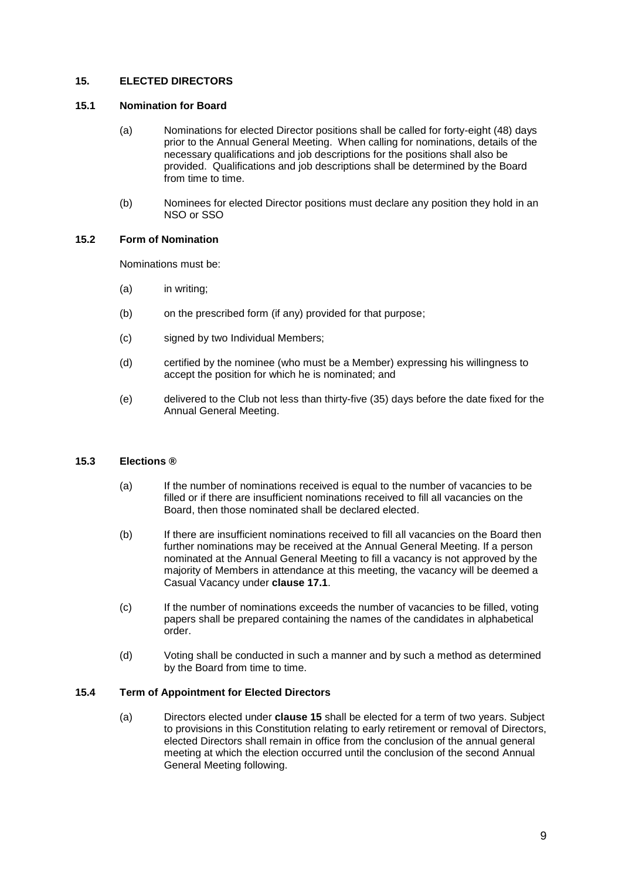# **15. ELECTED DIRECTORS**

### **15.1 Nomination for Board**

- (a) Nominations for elected Director positions shall be called for forty-eight (48) days prior to the Annual General Meeting. When calling for nominations, details of the necessary qualifications and job descriptions for the positions shall also be provided. Qualifications and job descriptions shall be determined by the Board from time to time.
- (b) Nominees for elected Director positions must declare any position they hold in an NSO or SSO

### **15.2 Form of Nomination**

Nominations must be:

- (a) in writing;
- (b) on the prescribed form (if any) provided for that purpose;
- (c) signed by two Individual Members;
- (d) certified by the nominee (who must be a Member) expressing his willingness to accept the position for which he is nominated; and
- (e) delivered to the Club not less than thirty-five (35) days before the date fixed for the Annual General Meeting.

# **15.3 Elections ®**

- (a) If the number of nominations received is equal to the number of vacancies to be filled or if there are insufficient nominations received to fill all vacancies on the Board, then those nominated shall be declared elected.
- (b) If there are insufficient nominations received to fill all vacancies on the Board then further nominations may be received at the Annual General Meeting. If a person nominated at the Annual General Meeting to fill a vacancy is not approved by the majority of Members in attendance at this meeting, the vacancy will be deemed a Casual Vacancy under **clause [17.1](#page-9-1)**.
- (c) If the number of nominations exceeds the number of vacancies to be filled, voting papers shall be prepared containing the names of the candidates in alphabetical order.
- (d) Voting shall be conducted in such a manner and by such a method as determined by the Board from time to time.

# <span id="page-8-0"></span>**15.4 Term of Appointment for Elected Directors**

(a) Directors elected under **clause 15** shall be elected for a term of two years. Subject to provisions in this Constitution relating to early retirement or removal of Directors, elected Directors shall remain in office from the conclusion of the annual general meeting at which the election occurred until the conclusion of the second Annual General Meeting following.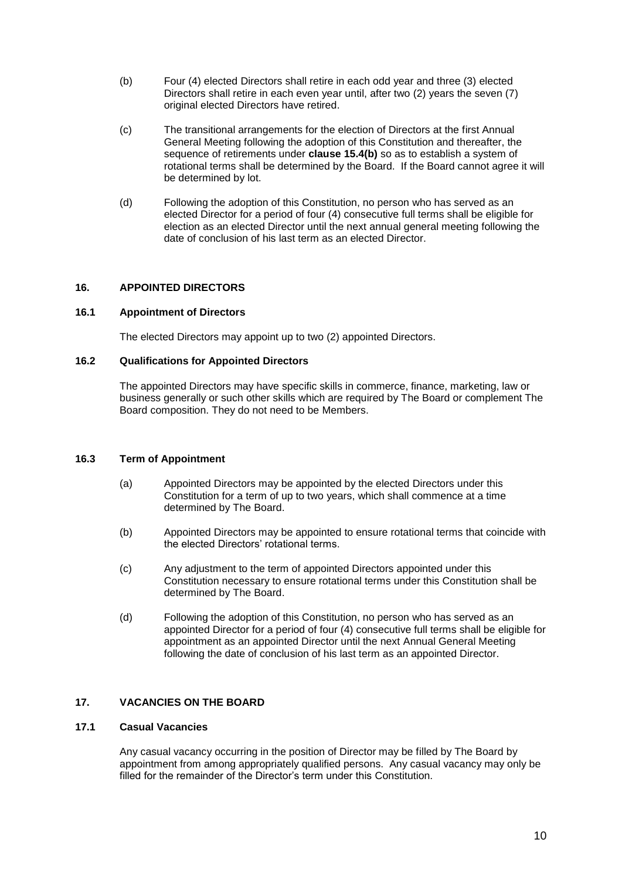- (b) Four (4) elected Directors shall retire in each odd year and three (3) elected Directors shall retire in each even year until, after two (2) years the seven (7) original elected Directors have retired.
- (c) The transitional arrangements for the election of Directors at the first Annual General Meeting following the adoption of this Constitution and thereafter, the sequence of retirements under **clause [15.4\(b\)](#page-8-0)** so as to establish a system of rotational terms shall be determined by the Board. If the Board cannot agree it will be determined by lot.
- (d) Following the adoption of this Constitution, no person who has served as an elected Director for a period of four (4) consecutive full terms shall be eligible for election as an elected Director until the next annual general meeting following the date of conclusion of his last term as an elected Director.

# <span id="page-9-0"></span>**16. APPOINTED DIRECTORS**

### **16.1 Appointment of Directors**

The elected Directors may appoint up to two (2) appointed Directors.

## **16.2 Qualifications for Appointed Directors**

The appointed Directors may have specific skills in commerce, finance, marketing, law or business generally or such other skills which are required by The Board or complement The Board composition. They do not need to be Members.

### **16.3 Term of Appointment**

- (a) Appointed Directors may be appointed by the elected Directors under this Constitution for a term of up to two years, which shall commence at a time determined by The Board.
- (b) Appointed Directors may be appointed to ensure rotational terms that coincide with the elected Directors' rotational terms.
- (c) Any adjustment to the term of appointed Directors appointed under this Constitution necessary to ensure rotational terms under this Constitution shall be determined by The Board.
- (d) Following the adoption of this Constitution, no person who has served as an appointed Director for a period of four (4) consecutive full terms shall be eligible for appointment as an appointed Director until the next Annual General Meeting following the date of conclusion of his last term as an appointed Director.

# **17. VACANCIES ON THE BOARD**

# <span id="page-9-1"></span>**17.1 Casual Vacancies**

Any casual vacancy occurring in the position of Director may be filled by The Board by appointment from among appropriately qualified persons. Any casual vacancy may only be filled for the remainder of the Director's term under this Constitution.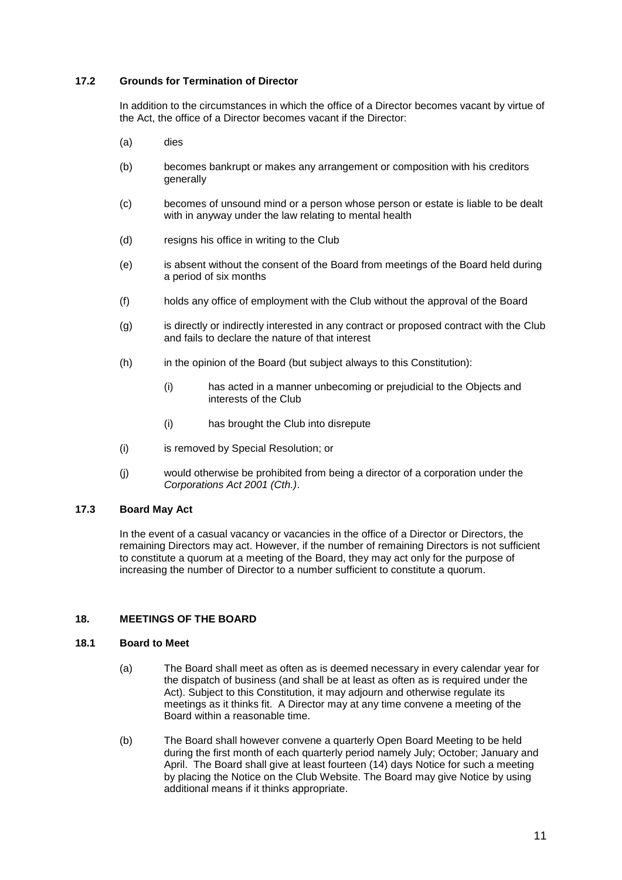# **17.2 Grounds for Termination of Director**

In addition to the circumstances in which the office of a Director becomes vacant by virtue of the Act, the office of a Director becomes vacant if the Director:

- (a) dies
- (b) becomes bankrupt or makes any arrangement or composition with his creditors generally
- (c) becomes of unsound mind or a person whose person or estate is liable to be dealt with in anyway under the law relating to mental health
- (d) resigns his office in writing to the Club
- (e) is absent without the consent of the Board from meetings of the Board held during a period of six months
- (f) holds any office of employment with the Club without the approval of the Board
- (g) is directly or indirectly interested in any contract or proposed contract with the Club and fails to declare the nature of that interest
- (h) in the opinion of the Board (but subject always to this Constitution):
	- (i) has acted in a manner unbecoming or prejudicial to the Objects and interests of the Club
	- (i) has brought the Club into disrepute
- (i) is removed by Special Resolution; or
- (j) would otherwise be prohibited from being a director of a corporation under the *Corporations Act 2001 (Cth.)*.

# **17.3 Board May Act**

In the event of a casual vacancy or vacancies in the office of a Director or Directors, the remaining Directors may act. However, if the number of remaining Directors is not sufficient to constitute a quorum at a meeting of the Board, they may act only for the purpose of increasing the number of Director to a number sufficient to constitute a quorum.

# <span id="page-10-0"></span>**18. MEETINGS OF THE BOARD**

### **18.1 Board to Meet**

- (a) The Board shall meet as often as is deemed necessary in every calendar year for the dispatch of business (and shall be at least as often as is required under the Act). Subject to this Constitution, it may adjourn and otherwise regulate its meetings as it thinks fit. A Director may at any time convene a meeting of the Board within a reasonable time.
- (b) The Board shall however convene a quarterly Open Board Meeting to be held during the first month of each quarterly period namely July; October; January and April. The Board shall give at least fourteen (14) days Notice for such a meeting by placing the Notice on the Club Website. The Board may give Notice by using additional means if it thinks appropriate.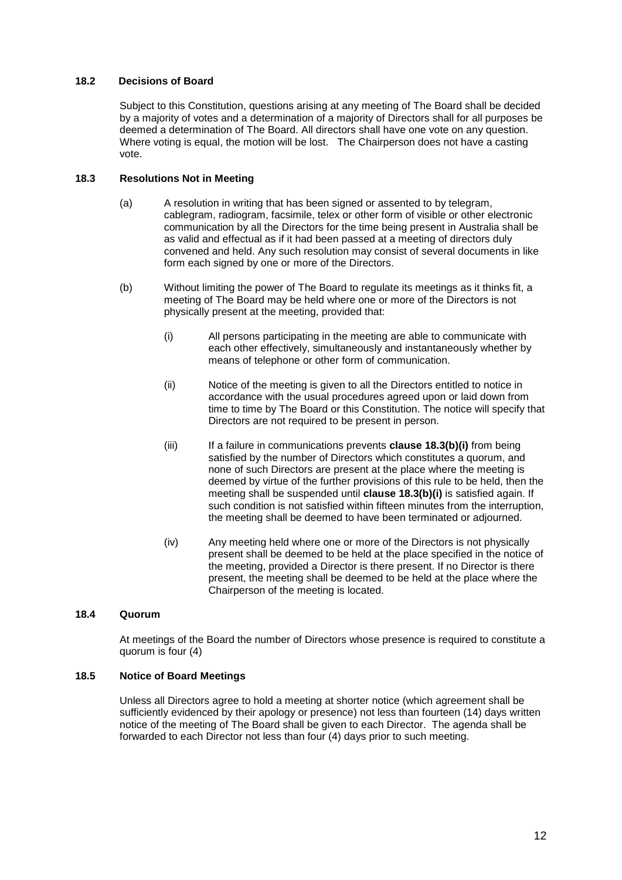# **18.2 Decisions of Board**

Subject to this Constitution, questions arising at any meeting of The Board shall be decided by a majority of votes and a determination of a majority of Directors shall for all purposes be deemed a determination of The Board. All directors shall have one vote on any question. Where voting is equal, the motion will be lost. The Chairperson does not have a casting vote.

# **18.3 Resolutions Not in Meeting**

- (a) A resolution in writing that has been signed or assented to by telegram, cablegram, radiogram, facsimile, telex or other form of visible or other electronic communication by all the Directors for the time being present in Australia shall be as valid and effectual as if it had been passed at a meeting of directors duly convened and held. Any such resolution may consist of several documents in like form each signed by one or more of the Directors.
- <span id="page-11-0"></span>(b) Without limiting the power of The Board to regulate its meetings as it thinks fit, a meeting of The Board may be held where one or more of the Directors is not physically present at the meeting, provided that:
	- (i) All persons participating in the meeting are able to communicate with each other effectively, simultaneously and instantaneously whether by means of telephone or other form of communication.
	- (ii) Notice of the meeting is given to all the Directors entitled to notice in accordance with the usual procedures agreed upon or laid down from time to time by The Board or this Constitution. The notice will specify that Directors are not required to be present in person.
	- (iii) If a failure in communications prevents **clause 18.[3\(b\)\(i\)](#page-11-0)** from being satisfied by the number of Directors which constitutes a quorum, and none of such Directors are present at the place where the meeting is deemed by virtue of the further provisions of this rule to be held, then the meeting shall be suspended until **clause 18.[3\(b\)\(i\)](#page-11-0)** is satisfied again. If such condition is not satisfied within fifteen minutes from the interruption, the meeting shall be deemed to have been terminated or adjourned.
	- (iv) Any meeting held where one or more of the Directors is not physically present shall be deemed to be held at the place specified in the notice of the meeting, provided a Director is there present. If no Director is there present, the meeting shall be deemed to be held at the place where the Chairperson of the meeting is located.

# **18.4 Quorum**

At meetings of the Board the number of Directors whose presence is required to constitute a quorum is four (4)

### **18.5 Notice of Board Meetings**

Unless all Directors agree to hold a meeting at shorter notice (which agreement shall be sufficiently evidenced by their apology or presence) not less than fourteen (14) days written notice of the meeting of The Board shall be given to each Director. The agenda shall be forwarded to each Director not less than four (4) days prior to such meeting.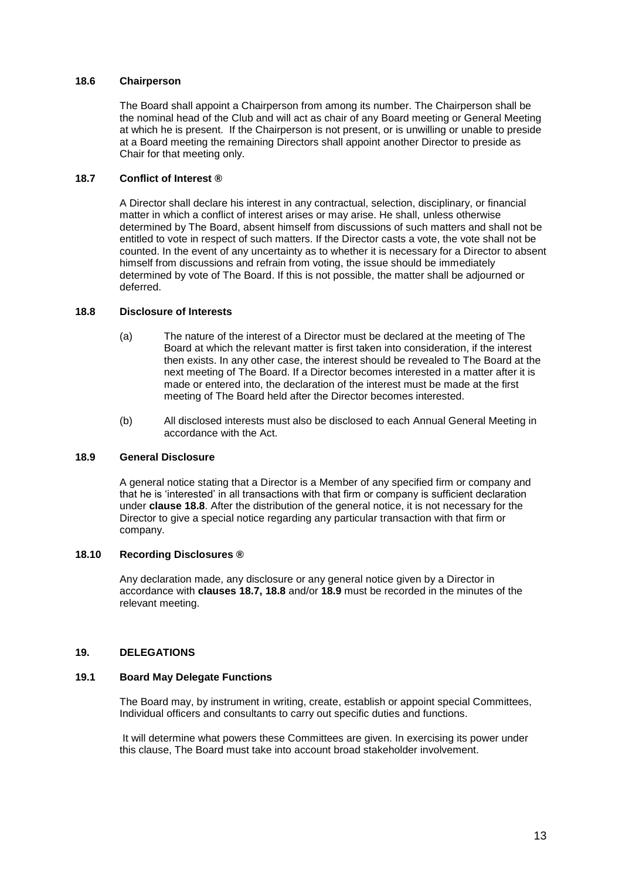## **18.6 Chairperson**

The Board shall appoint a Chairperson from among its number. The Chairperson shall be the nominal head of the Club and will act as chair of any Board meeting or General Meeting at which he is present. If the Chairperson is not present, or is unwilling or unable to preside at a Board meeting the remaining Directors shall appoint another Director to preside as Chair for that meeting only.

### **18.7 Conflict of Interest ®**

A Director shall declare his interest in any contractual, selection, disciplinary, or financial matter in which a conflict of interest arises or may arise. He shall, unless otherwise determined by The Board, absent himself from discussions of such matters and shall not be entitled to vote in respect of such matters. If the Director casts a vote, the vote shall not be counted. In the event of any uncertainty as to whether it is necessary for a Director to absent himself from discussions and refrain from voting, the issue should be immediately determined by vote of The Board. If this is not possible, the matter shall be adjourned or deferred.

### <span id="page-12-0"></span>**18.8 Disclosure of Interests**

- (a) The nature of the interest of a Director must be declared at the meeting of The Board at which the relevant matter is first taken into consideration, if the interest then exists. In any other case, the interest should be revealed to The Board at the next meeting of The Board. If a Director becomes interested in a matter after it is made or entered into, the declaration of the interest must be made at the first meeting of The Board held after the Director becomes interested.
- (b) All disclosed interests must also be disclosed to each Annual General Meeting in accordance with the Act.

### <span id="page-12-1"></span>**18.9 General Disclosure**

A general notice stating that a Director is a Member of any specified firm or company and that he is 'interested' in all transactions with that firm or company is sufficient declaration under **clause [18.8](#page-12-0)**. After the distribution of the general notice, it is not necessary for the Director to give a special notice regarding any particular transaction with that firm or company.

## **18.10 Recording Disclosures ®**

Any declaration made, any disclosure or any general notice given by a Director in accordance with **clauses 18.7, [18.8](#page-12-0)** and/or **[18.9](#page-12-1)** must be recorded in the minutes of the relevant meeting.

### **19. DELEGATIONS**

### **19.1 Board May Delegate Functions**

The Board may, by instrument in writing, create, establish or appoint special Committees, Individual officers and consultants to carry out specific duties and functions.

It will determine what powers these Committees are given. In exercising its power under this clause, The Board must take into account broad stakeholder involvement.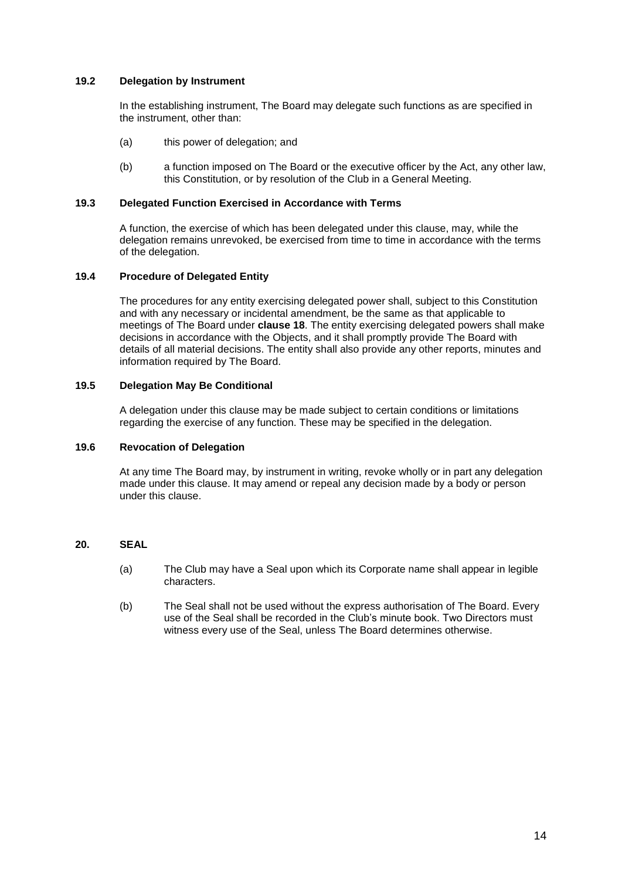## **19.2 Delegation by Instrument**

In the establishing instrument, The Board may delegate such functions as are specified in the instrument, other than:

- (a) this power of delegation; and
- (b) a function imposed on The Board or the executive officer by the Act, any other law, this Constitution, or by resolution of the Club in a General Meeting.

### **19.3 Delegated Function Exercised in Accordance with Terms**

A function, the exercise of which has been delegated under this clause, may, while the delegation remains unrevoked, be exercised from time to time in accordance with the terms of the delegation.

## **19.4 Procedure of Delegated Entity**

The procedures for any entity exercising delegated power shall, subject to this Constitution and with any necessary or incidental amendment, be the same as that applicable to meetings of The Board under **clause [18](#page-10-0)**. The entity exercising delegated powers shall make decisions in accordance with the Objects, and it shall promptly provide The Board with details of all material decisions. The entity shall also provide any other reports, minutes and information required by The Board.

### **19.5 Delegation May Be Conditional**

A delegation under this clause may be made subject to certain conditions or limitations regarding the exercise of any function. These may be specified in the delegation.

#### **19.6 Revocation of Delegation**

At any time The Board may, by instrument in writing, revoke wholly or in part any delegation made under this clause. It may amend or repeal any decision made by a body or person under this clause.

# **20. SEAL**

- (a) The Club may have a Seal upon which its Corporate name shall appear in legible characters.
- (b) The Seal shall not be used without the express authorisation of The Board. Every use of the Seal shall be recorded in the Club's minute book. Two Directors must witness every use of the Seal, unless The Board determines otherwise.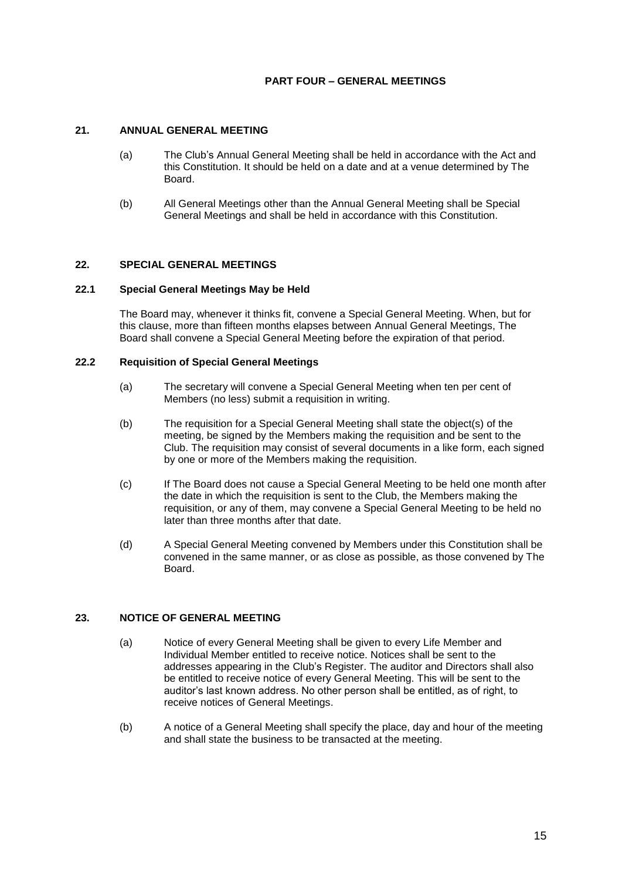# **PART FOUR – GENERAL MEETINGS**

# **21. ANNUAL GENERAL MEETING**

- (a) The Club's Annual General Meeting shall be held in accordance with the Act and this Constitution. It should be held on a date and at a venue determined by The Board.
- (b) All General Meetings other than the Annual General Meeting shall be Special General Meetings and shall be held in accordance with this Constitution.

### **22. SPECIAL GENERAL MEETINGS**

### **22.1 Special General Meetings May be Held**

The Board may, whenever it thinks fit, convene a Special General Meeting. When, but for this clause, more than fifteen months elapses between Annual General Meetings, The Board shall convene a Special General Meeting before the expiration of that period.

## **22.2 Requisition of Special General Meetings**

- (a) The secretary will convene a Special General Meeting when ten per cent of Members (no less) submit a requisition in writing.
- (b) The requisition for a Special General Meeting shall state the object(s) of the meeting, be signed by the Members making the requisition and be sent to the Club. The requisition may consist of several documents in a like form, each signed by one or more of the Members making the requisition.
- (c) If The Board does not cause a Special General Meeting to be held one month after the date in which the requisition is sent to the Club, the Members making the requisition, or any of them, may convene a Special General Meeting to be held no later than three months after that date.
- (d) A Special General Meeting convened by Members under this Constitution shall be convened in the same manner, or as close as possible, as those convened by The Board.

### **23. NOTICE OF GENERAL MEETING**

- (a) Notice of every General Meeting shall be given to every Life Member and Individual Member entitled to receive notice. Notices shall be sent to the addresses appearing in the Club's Register. The auditor and Directors shall also be entitled to receive notice of every General Meeting. This will be sent to the auditor's last known address. No other person shall be entitled, as of right, to receive notices of General Meetings.
- (b) A notice of a General Meeting shall specify the place, day and hour of the meeting and shall state the business to be transacted at the meeting.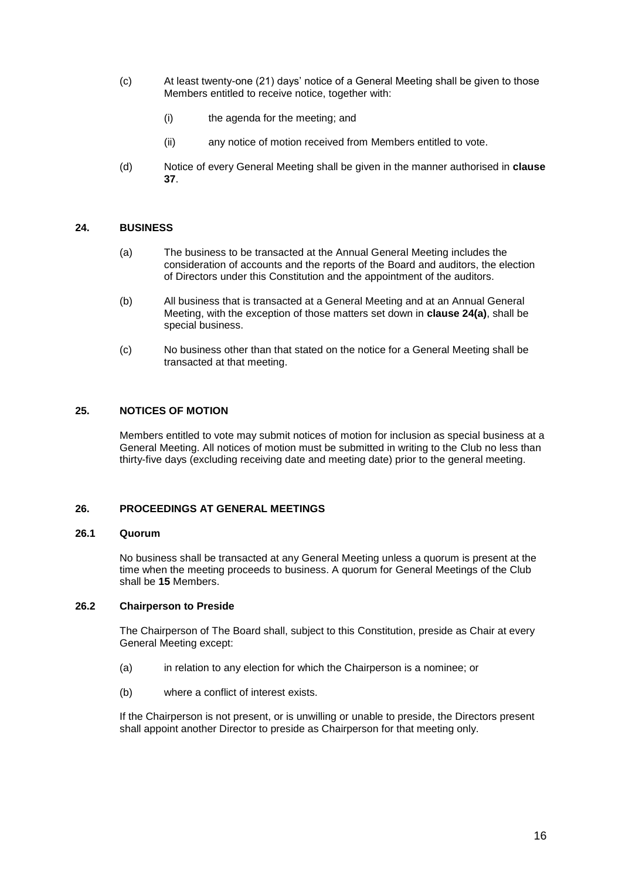- (c) At least twenty-one (21) days' notice of a General Meeting shall be given to those Members entitled to receive notice, together with:
	- (i) the agenda for the meeting; and
	- (ii) any notice of motion received from Members entitled to vote.
- (d) Notice of every General Meeting shall be given in the manner authorised in **clause [37](#page-20-0)**.

### <span id="page-15-0"></span>**24. BUSINESS**

- (a) The business to be transacted at the Annual General Meeting includes the consideration of accounts and the reports of the Board and auditors, the election of Directors under this Constitution and the appointment of the auditors.
- (b) All business that is transacted at a General Meeting and at an Annual General Meeting, with the exception of those matters set down in **clause [24\(a\)](#page-15-0)**, shall be special business.
- (c) No business other than that stated on the notice for a General Meeting shall be transacted at that meeting.

### **25. NOTICES OF MOTION**

Members entitled to vote may submit notices of motion for inclusion as special business at a General Meeting. All notices of motion must be submitted in writing to the Club no less than thirty-five days (excluding receiving date and meeting date) prior to the general meeting.

# **26. PROCEEDINGS AT GENERAL MEETINGS**

### **26.1 Quorum**

No business shall be transacted at any General Meeting unless a quorum is present at the time when the meeting proceeds to business. A quorum for General Meetings of the Club shall be **15** Members.

## **26.2 Chairperson to Preside**

The Chairperson of The Board shall, subject to this Constitution, preside as Chair at every General Meeting except:

- (a) in relation to any election for which the Chairperson is a nominee; or
- (b) where a conflict of interest exists.

If the Chairperson is not present, or is unwilling or unable to preside, the Directors present shall appoint another Director to preside as Chairperson for that meeting only.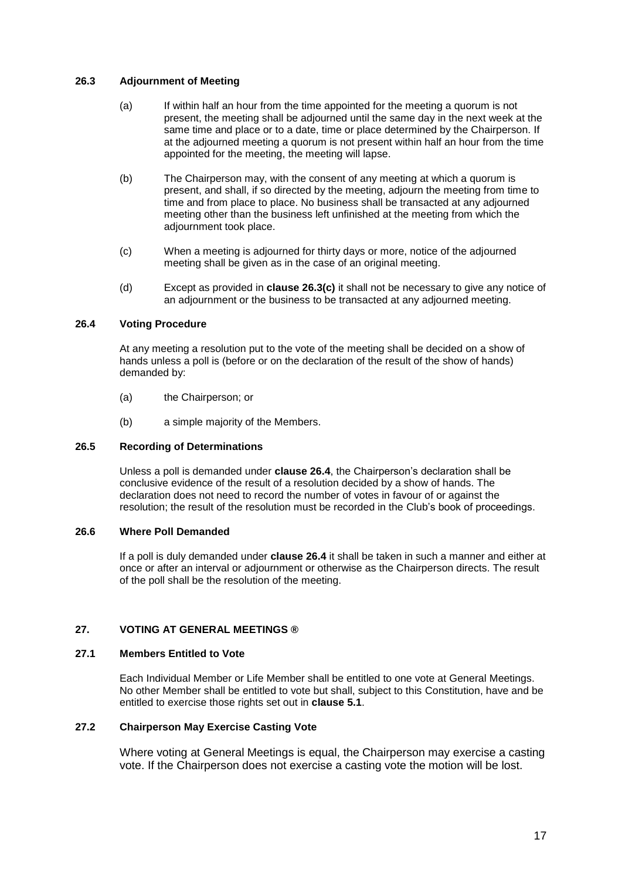## <span id="page-16-0"></span>**26.3 Adjournment of Meeting**

- (a) If within half an hour from the time appointed for the meeting a quorum is not present, the meeting shall be adjourned until the same day in the next week at the same time and place or to a date, time or place determined by the Chairperson. If at the adjourned meeting a quorum is not present within half an hour from the time appointed for the meeting, the meeting will lapse.
- (b) The Chairperson may, with the consent of any meeting at which a quorum is present, and shall, if so directed by the meeting, adjourn the meeting from time to time and from place to place. No business shall be transacted at any adjourned meeting other than the business left unfinished at the meeting from which the adjournment took place.
- (c) When a meeting is adjourned for thirty days or more, notice of the adjourned meeting shall be given as in the case of an original meeting.
- (d) Except as provided in **clause [26.3\(c\)](#page-16-0)** it shall not be necessary to give any notice of an adjournment or the business to be transacted at any adjourned meeting.

### <span id="page-16-1"></span>**26.4 Voting Procedure**

At any meeting a resolution put to the vote of the meeting shall be decided on a show of hands unless a poll is (before or on the declaration of the result of the show of hands) demanded by:

- (a) the Chairperson; or
- (b) a simple majority of the Members.

### **26.5 Recording of Determinations**

Unless a poll is demanded under **clause [26.4](#page-16-1)**, the Chairperson's declaration shall be conclusive evidence of the result of a resolution decided by a show of hands. The declaration does not need to record the number of votes in favour of or against the resolution; the result of the resolution must be recorded in the Club's book of proceedings.

### **26.6 Where Poll Demanded**

If a poll is duly demanded under **clause [26.4](#page-16-1)** it shall be taken in such a manner and either at once or after an interval or adjournment or otherwise as the Chairperson directs. The result of the poll shall be the resolution of the meeting.

# **27. VOTING AT GENERAL MEETINGS ®**

### **27.1 Members Entitled to Vote**

Each Individual Member or Life Member shall be entitled to one vote at General Meetings. No other Member shall be entitled to vote but shall, subject to this Constitution, have and be entitled to exercise those rights set out in **clause [5.1](#page-2-0)**.

## **27.2 Chairperson May Exercise Casting Vote**

Where voting at General Meetings is equal, the Chairperson may exercise a casting vote. If the Chairperson does not exercise a casting vote the motion will be lost.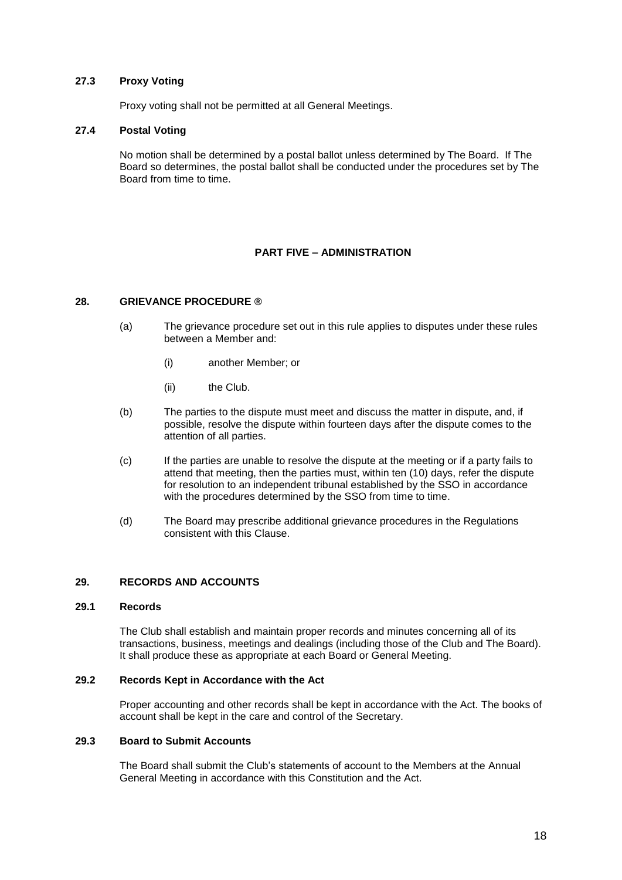# **27.3 Proxy Voting**

Proxy voting shall not be permitted at all General Meetings.

### **27.4 Postal Voting**

No motion shall be determined by a postal ballot unless determined by The Board. If The Board so determines, the postal ballot shall be conducted under the procedures set by The Board from time to time.

# **PART FIVE – ADMINISTRATION**

### **28. GRIEVANCE PROCEDURE ®**

- (a) The grievance procedure set out in this rule applies to disputes under these rules between a Member and:
	- (i) another Member; or
	- (ii) the Club.
- (b) The parties to the dispute must meet and discuss the matter in dispute, and, if possible, resolve the dispute within fourteen days after the dispute comes to the attention of all parties.
- (c) If the parties are unable to resolve the dispute at the meeting or if a party fails to attend that meeting, then the parties must, within ten (10) days, refer the dispute for resolution to an independent tribunal established by the SSO in accordance with the procedures determined by the SSO from time to time.
- (d) The Board may prescribe additional grievance procedures in the Regulations consistent with this Clause.

### **29. RECORDS AND ACCOUNTS**

#### **29.1 Records**

The Club shall establish and maintain proper records and minutes concerning all of its transactions, business, meetings and dealings (including those of the Club and The Board). It shall produce these as appropriate at each Board or General Meeting.

### **29.2 Records Kept in Accordance with the Act**

Proper accounting and other records shall be kept in accordance with the Act. The books of account shall be kept in the care and control of the Secretary.

# **29.3 Board to Submit Accounts**

The Board shall submit the Club's statements of account to the Members at the Annual General Meeting in accordance with this Constitution and the Act.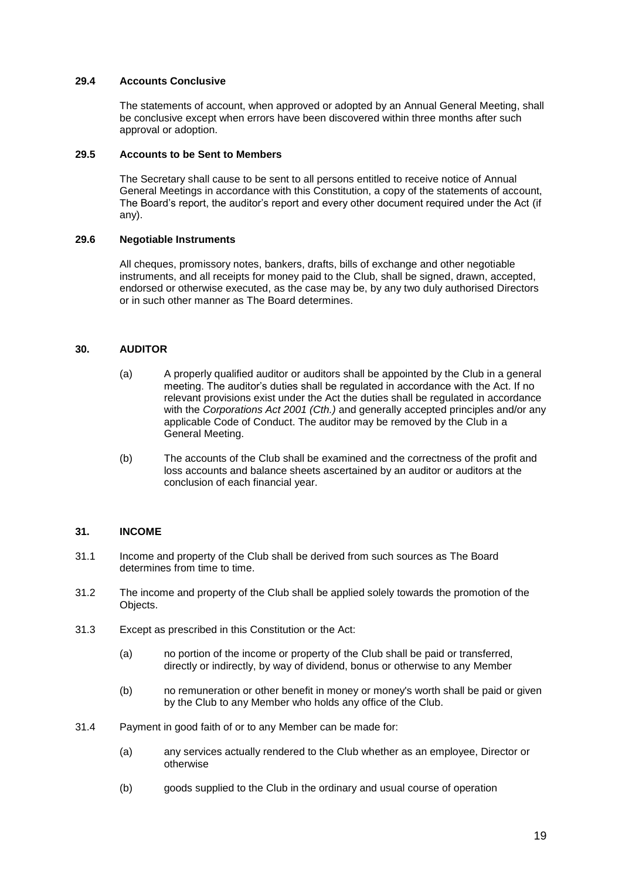## **29.4 Accounts Conclusive**

The statements of account, when approved or adopted by an Annual General Meeting, shall be conclusive except when errors have been discovered within three months after such approval or adoption.

### **29.5 Accounts to be Sent to Members**

The Secretary shall cause to be sent to all persons entitled to receive notice of Annual General Meetings in accordance with this Constitution, a copy of the statements of account, The Board's report, the auditor's report and every other document required under the Act (if any).

## **29.6 Negotiable Instruments**

All cheques, promissory notes, bankers, drafts, bills of exchange and other negotiable instruments, and all receipts for money paid to the Club, shall be signed, drawn, accepted, endorsed or otherwise executed, as the case may be, by any two duly authorised Directors or in such other manner as The Board determines.

# **30. AUDITOR**

- (a) A properly qualified auditor or auditors shall be appointed by the Club in a general meeting. The auditor's duties shall be regulated in accordance with the Act. If no relevant provisions exist under the Act the duties shall be regulated in accordance with the *Corporations Act 2001 (Cth.)* and generally accepted principles and/or any applicable Code of Conduct. The auditor may be removed by the Club in a General Meeting.
- (b) The accounts of the Club shall be examined and the correctness of the profit and loss accounts and balance sheets ascertained by an auditor or auditors at the conclusion of each financial year.

### **31. INCOME**

- 31.1 Income and property of the Club shall be derived from such sources as The Board determines from time to time.
- 31.2 The income and property of the Club shall be applied solely towards the promotion of the Objects.
- 31.3 Except as prescribed in this Constitution or the Act:
	- (a) no portion of the income or property of the Club shall be paid or transferred, directly or indirectly, by way of dividend, bonus or otherwise to any Member
	- (b) no remuneration or other benefit in money or money's worth shall be paid or given by the Club to any Member who holds any office of the Club.
- 31.4 Payment in good faith of or to any Member can be made for:
	- (a) any services actually rendered to the Club whether as an employee, Director or otherwise
	- (b) goods supplied to the Club in the ordinary and usual course of operation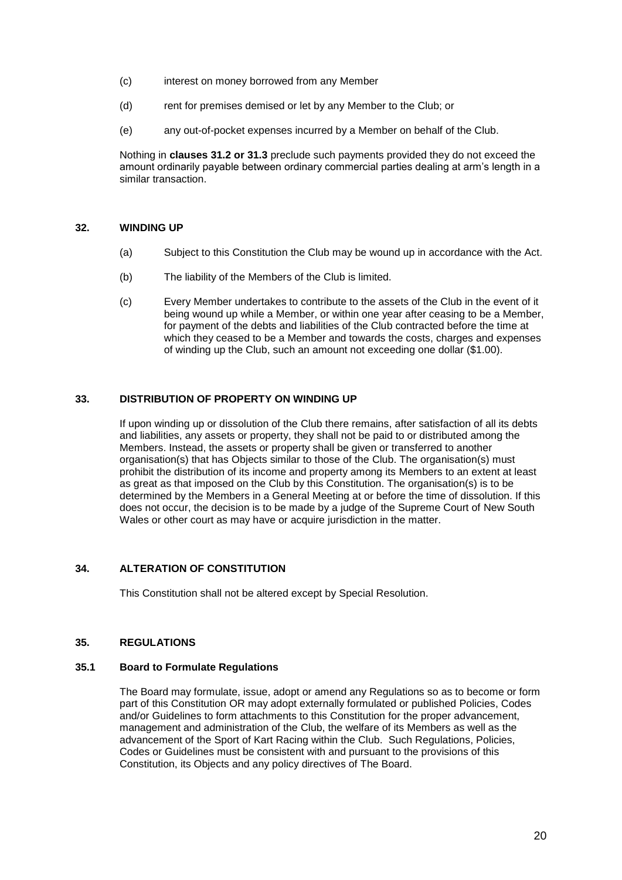- (c) interest on money borrowed from any Member
- (d) rent for premises demised or let by any Member to the Club; or
- (e) any out-of-pocket expenses incurred by a Member on behalf of the Club.

Nothing in **clauses 31.2 or 31.3** preclude such payments provided they do not exceed the amount ordinarily payable between ordinary commercial parties dealing at arm's length in a similar transaction.

# **32. WINDING UP**

- (a) Subject to this Constitution the Club may be wound up in accordance with the Act.
- (b) The liability of the Members of the Club is limited.
- (c) Every Member undertakes to contribute to the assets of the Club in the event of it being wound up while a Member, or within one year after ceasing to be a Member, for payment of the debts and liabilities of the Club contracted before the time at which they ceased to be a Member and towards the costs, charges and expenses of winding up the Club, such an amount not exceeding one dollar (\$1.00).

# **33. DISTRIBUTION OF PROPERTY ON WINDING UP**

If upon winding up or dissolution of the Club there remains, after satisfaction of all its debts and liabilities, any assets or property, they shall not be paid to or distributed among the Members. Instead, the assets or property shall be given or transferred to another organisation(s) that has Objects similar to those of the Club. The organisation(s) must prohibit the distribution of its income and property among its Members to an extent at least as great as that imposed on the Club by this Constitution. The organisation(s) is to be determined by the Members in a General Meeting at or before the time of dissolution. If this does not occur, the decision is to be made by a judge of the Supreme Court of New South Wales or other court as may have or acquire jurisdiction in the matter.

# **34. ALTERATION OF CONSTITUTION**

This Constitution shall not be altered except by Special Resolution.

### **35. REGULATIONS**

### **35.1 Board to Formulate Regulations**

The Board may formulate, issue, adopt or amend any Regulations so as to become or form part of this Constitution OR may adopt externally formulated or published Policies, Codes and/or Guidelines to form attachments to this Constitution for the proper advancement, management and administration of the Club, the welfare of its Members as well as the advancement of the Sport of Kart Racing within the Club. Such Regulations, Policies, Codes or Guidelines must be consistent with and pursuant to the provisions of this Constitution, its Objects and any policy directives of The Board.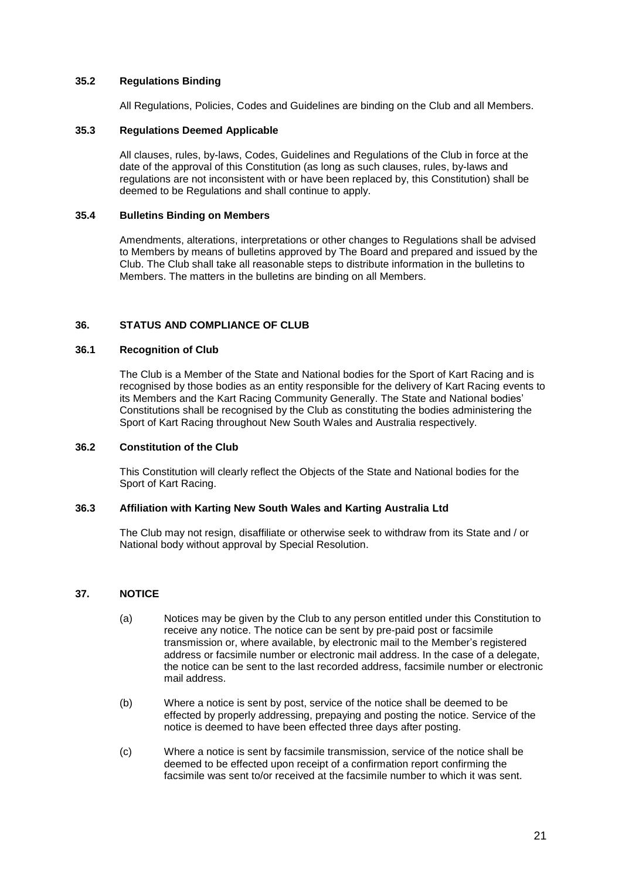# **35.2 Regulations Binding**

All Regulations, Policies, Codes and Guidelines are binding on the Club and all Members.

## **35.3 Regulations Deemed Applicable**

All clauses, rules, by-laws, Codes, Guidelines and Regulations of the Club in force at the date of the approval of this Constitution (as long as such clauses, rules, by-laws and regulations are not inconsistent with or have been replaced by, this Constitution) shall be deemed to be Regulations and shall continue to apply.

## **35.4 Bulletins Binding on Members**

Amendments, alterations, interpretations or other changes to Regulations shall be advised to Members by means of bulletins approved by The Board and prepared and issued by the Club. The Club shall take all reasonable steps to distribute information in the bulletins to Members. The matters in the bulletins are binding on all Members.

# **36. STATUS AND COMPLIANCE OF CLUB**

## **36.1 Recognition of Club**

The Club is a Member of the State and National bodies for the Sport of Kart Racing and is recognised by those bodies as an entity responsible for the delivery of Kart Racing events to its Members and the Kart Racing Community Generally. The State and National bodies' Constitutions shall be recognised by the Club as constituting the bodies administering the Sport of Kart Racing throughout New South Wales and Australia respectively.

### **36.2 Constitution of the Club**

This Constitution will clearly reflect the Objects of the State and National bodies for the Sport of Kart Racing.

### **36.3 Affiliation with Karting New South Wales and Karting Australia Ltd**

The Club may not resign, disaffiliate or otherwise seek to withdraw from its State and / or National body without approval by Special Resolution.

# <span id="page-20-0"></span>**37. NOTICE**

- (a) Notices may be given by the Club to any person entitled under this Constitution to receive any notice. The notice can be sent by pre-paid post or facsimile transmission or, where available, by electronic mail to the Member's registered address or facsimile number or electronic mail address. In the case of a delegate, the notice can be sent to the last recorded address, facsimile number or electronic mail address.
- (b) Where a notice is sent by post, service of the notice shall be deemed to be effected by properly addressing, prepaying and posting the notice. Service of the notice is deemed to have been effected three days after posting.
- (c) Where a notice is sent by facsimile transmission, service of the notice shall be deemed to be effected upon receipt of a confirmation report confirming the facsimile was sent to/or received at the facsimile number to which it was sent.